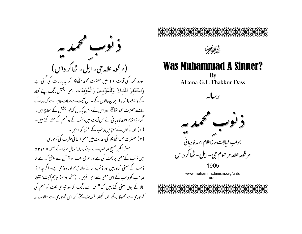





## **Was Muhammad A Sinner?**

By Allama G.L.Thakkur Dass



www.muhammadanism.org/urdu urdu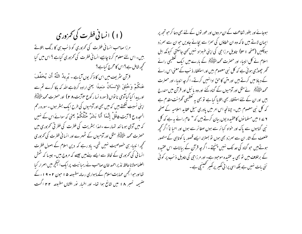(۱) انسانی فطرت کی تھمزوری مرزا صاحب انسانی فطرت کی تمزوری کو ذنب ہی کا رنگ بتلاتے بیں۔اس لئے معلوم کرنا چاہیے انسا فی فطرت کی تھروری کیاہے ؟اس میں کیا محمجھ شامل ہے؟ اس کا محرج کیاہے؟ قرآن نثر یف میں اس کا ذکر یوں آیاہے۔ ٹیریڈ اللّٰہُ أَن ٹیحَفَّفَ عَنكُمْ وَحُلُقَ الإِنسَانُ صَعِيفًا يعني اراده كرتاہے الله كه بلكا كرے تم سے اور پیدا کیا گیاآدمی نا نواں (سورہ نسا رکوع ۴۴پت ۲۸) اور حصرت محمد ملیَّ ایش اپنی نسبت لکھتے ہیں کہ میں بھی اور آدمیوں کی طرح ایک بسٹر ہوں ۔ سورہ رحم السحدہ ع 1 آیت ۵قُلْ إِنَّعَا أَنَا بَشَرٌ مِّثْلُکُمْ یعنی کہ سوائے اس کے نہیں کہ میں آدمی ہو ما نند تہارے ۔لہذا بستٰریت کی فطرت کی فطر تی تھروری میں حصرت محمد ﷺ مثل اور آدمیوں کے ٹھہرے اور انسانی فطرت کی کمروری تحجیے ا نبیاء ہی خصوصیت نہیں تھی۔ ماد رہے کہ دین اسلام کے اصول فطرت انسانی کی تمزوری کے لحاظ سے ایسے بنے میں جیسے کہ مروج بیں۔ جیسا کہ شمش العلمامولانا حافظ نذير احمد خان صاحب نے رہبا نيت پرايك اليڪچر ميں اصرار كيا تھااور حبوانجمن حمایت اسلام کے ماہواری رسالہ مطبوعہ ۵ ا حبون ۲ • ۹ اء کے صمیمه نمیبر ۱۸ میں شائع ہوا تھا۔ اور اخبار پور افشاں مطبوعہ ۲۲ اگست

ہوجائے اور بطور شفاعت کے ان مر دوں اور عور توں کے لئے بھی دعا کر حبو تجھ پر ایمان لاتے ہیں تاکہ وہ ان خطاؤں کی سمزا سے بچائے جاویں حبو ان سے سمرزد ہوچکیں (صفحہ ۳۱) تاویل مرزاحی کی اپنی طبعزاد نہیں کھی جاسکتی کیونکہ اہل اسلام نے کل انبیاء اور حصرت محمد التَّقَيْلِيَّهُمْ کے بارے میں ایک تعظیمی رائے گھر چھوڑی ہوئی ہے کہ کل نبی معصوم ہیں اور استغفار ذنب کے معنی اس رائے کے دیاؤ میں کرتے بیں اور متن کاحق ادانہیں کرتے۔اگر چہ انبیاء اور حصرت محمد التَّقِيَّةَ لِمَنْ سُلِّمَا ورآدميوں کے گناہ کئے اور وہ یا ئبل اور قرآن میں مندرج بیں اور ان کے لئے استغفار بھی بتلایا گیا ہے تو بھی یہ تعظیمی گھڑنت مقدم ہے کہ کل نبی معصوم ،میں۔ چنانچہ اس امر میں یادری سیل عقاید اسلامیہ کے صفحہ ۶ ۷ – ۲ میں مسلمانوں کاعقیدہ یوں بیان کرتے ہیں کہ " عام رائے ہیرہے کہ کل نبی گناہوں سے پاک اور خواہ کیائر سے ہوں صغائر سے ہوں اور احیا ناً اگر تحچھ صنعت کے اثار ان سے سمر زد بھی ہوں تو بمنزلہ ایسے قصور یا کوتاہی کے متصور ہوتے ہیں حو گناہ کی حد تک نہیں پہنچتے ۔ اگر چہ قرآن کے بیانات اس عقیدہ کے برخلاف میں تو بھی یہ عقیدہ موجود ہے۔اور مرزاحی کی تاویل ذنب پر کوئی نئی بات نہیں ہے بلکہ اسی پرا نی لکیر پر لکیر کھینیچی ہے ۔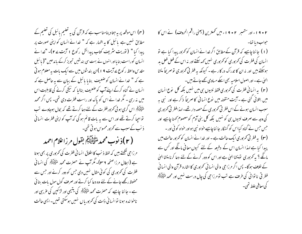(۴) اس موقعہ پر یہ جتاد بنامناسب ہے کہ قرآن کی یہ تعلیم پائبل کی تعلیم کے مطابق نہیں ہے پائبل کا یہ اظہار ہے کہ " خدا نے انسان کو اپنی صورت پر پیدا کیا " (توریت سٹریف کتاب پیدائش رکوع ا آیت ۲۷ے- "خدا نے انسان کوراست بنایااور انہوں نے بہت سی بندشیں تجویز کرکے باندھیں "( یا ئبل مقدس واعظ رکوع پے آیت ۹ ا )ان بندشوں میں سے ایک بات بہ معلوم ہو تی ہے کہ " خدا نے انسان کو ضعیف بنایا پائبل کے بیان سے یہ حاصل ہے کہ انسان نے گناہ کرکے اپنے آپ کو ضعیف بنالیا کہ نیکی کرنے کی قابلیت اس میں نہ رہی ۔ مگر خدا نے اس کو پاک اور راست فطرت دی تھی۔ پس اگر محمد متٰحَیْنَہُمْ اس گری ہوئی تھرور فطرت کے لئے دعا کرتے تھے کہ بحال ہوجاوے تب تواجیا کرتے تھے اور اس سے یہ بات قائم ہو گی کہ آپ کو اپنی فطرت انسانی ذنب کے سبب سے کمرور محسوس ہو تی تھی۔

( ٢ )ذِ نوب محمدِ مُتَّهَنِيَّةً لِمَ بِقَولِ مِرزا غلام احمد مرزاحی ککھتے ہیں کہ لفظ ذنب کا اطلاق انسانی فطرت کی تمزوری پر بھی ہوتا ہے (ابطال مرزا صفحہ ۲۳)۔ مگر آپ نے حصرت محمد ملٹی ایکم کی انسانی فطرت کی تم زوری کی کوئی مثال نہیں دی جس کو دور کرنے اور جس سے محفوظ رکھے جانے کے لئے وہ دعا کیا کرتے اور صرف گول مول بات بنا ئی ہے - جا ننا چاہیے کہ حصرت محمد ملتَّ لِیَہٖٓم کی یتیبی اور لڑ کین کی غریبی اور ناخوانده ہونا توانسا فی ذات کی تمزوریاں نہیں ہوسکتی تھیں۔ایسی حالت

۱۹۰۲ء اور ستمبر ۱۹۰۲ء میں تحمترین (یعنی راقم الحروف) نے اس کا حواب د یا تھا۔ (۱) جانناچاہیے کہ قرآن کےمطابق اگر خدانے انسان کو کمزور پیدا کیا ہے تو انسان کی فطرت کی تمر دوری کو تمر دوری نہیں تھہ سکتے اور نہ اس کے فعل فعل بد ہوسکتے ہیں اور نہ ان کا تدراک در کار ہے ۔ کیونکہ یہ فطر ٹی تحربوری نوصر یجاً منشا ان ہے۔اور اصول اسلامیہ بھی اسکے میاوی کھے جاتے ہیں۔ (۲) به انسانی فطرت کی تمزوری فقط نبیوں ہی میں نہیں بلکہ کل نوع انسان میں بتلائی گئی ہے ۔ آیت منقولہ میں نوع انسانی کا صریحاً ذکر ہے اور نہی یہ سبب انسان ہونے کے اس فطر تی تھر دوری کے حصہ دار تھے۔ لہذا فطر تی تھر دوری کی وجہ سے صرف نبیوں ہی کو نہیں بلکہ کل بنی آدم کو معصوم کھنا چاہیے اور حس حس نے گناہ کیااس کو گنہگار جا ننا چاہیے خواہ نبی ہواور خواہ کو ئی اور – (۳) یہ فطر ٹی تھروری ایک حالت ہے ۔ اور خدا نے انسان کو تھرور حالت میں پیدا کیا ہے لہذا انسان اس کے دفیعہ کے لئے کیوں معافی مانگے اور کس سے مائگے ؟ یہ کم وری تومنشا الهیٰ ہے اور اس کو دور کرنے کے لئے دعا کرنا منشا الهیٰ کے خلاف ہوگا۔ پس اگر مرزا حی والی انسا نی تحمزوری کا اشارہ قرآن والی انسا نی فطر فی ناتوا فی کی طرف ہے تب تو مرزاحی کی چال درست نہیں اور محمد ملٹی ایکٹر كى معافى علط تھى۔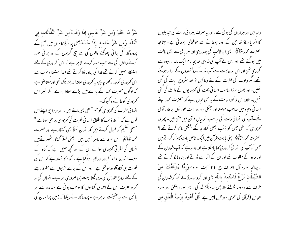شَرٌّ مَا خَلَقَ وَمِن شَرٌّ غَاسِقٍ إِذَا وَقَبَ َمِن شَرٌّ النَّفَّاثَاتِ فِي الْعُقَد وَمن شَرٌّ حَاسد إِذَا حَسَدَيعني يناه بَكِرْتا بوں ميں صبح کے پرورد گار کی برائی پھونکنے والوں کی سے بیچ گرہوں کے اور برائی حسد کرنے والوں کی سے حب حسد کرے ظاہر ہے کہ اس کم زوری کے لئے استغفار نہیں کرتے تھے خدا کی پناہ ما نگا کرتے تھے لہذا استغفا ذیوب سے اس کمر وری کوجدار کھناچاہیے ہہ کمروری البتہ اندیشہ ناک تھی اور متقاصی ہے کہ لوگوں حصرت محمد کے بارے میں بڑے محتاط ہوئے۔مگر خبیر اس کم وری کوجانے دو کیونکہ -

انسا فی فطرت کی تمزوری کو ہم مسیحی بھی مانتے ہیں۔ اور مرزا حی اپنے اس قول سے کہ "لفظ ذیب کا اطلاق انسانی فطرت کی تمزوری پر بھی ہوتاہے " مسیحی تعلیم کو قبول کرتے ہیں کہ انسان نسلاً بھی گنہگار ہے اور حصرت محمد التَّأْلِيَةَ لِمَّ اس صيغہ سے ماہرِ نہيں ہيں۔ یعنی نسلاً گنہگار ٹھہرتے ہيں انسان کی فطر ٹی تھروری سوائے اس کے اور تحچھ نہیں ہے کہ گناہ کے سبب انسان پذا تہ تھمزور اور لاچار ہو گیا ہے ۔ گناہ کا تسلط ہے کہ اس کی فطرت ہی گناہ آلودہ ہو گئی ہے ۔ اور اس کے برے نتیجوں سے محفوظ رہنے کے لئے روح القدس کی مدد مانگنا بہت ہی صروری امر ہے۔ انسان کی بہ تحمزور فطرت اس کے اعمالی گناہوں کاموجب ہوتی ہے مشاہدہ سے اور بائبل سے ہہ حقیقت ظاہر ہے - پرورد گار نے دیکھا کہ زمین پر انسان کی

د نیامیں اور ہزاروں کی ہو تی ہے۔اور یہ صرف بیرو فی حالات کی تیدیلیوں کا اثر یا دیاؤ تھا جن کے دور ہوجانے سے خوشحالی ہوجاتی ہے۔ چنانچہ حصرت محمد ﷺ بھی ابوطالب کی ہمدردی اور مهر با فی سے اچھی حالت میں ہوگئے تھے اور اس نے آپ کی شادی خدیجہ نام ایک مالدار بیوہ سے کرادی تھی اور اس بندوبست سے آپ مکہ کے دولتمندوں کے برابر ہوگئے تھے۔ مگر ذیوب کی فطرت کے لئے دعائیں تو بعد سثروع ریات کی گئی تھیں۔ اور بقول مرزاصاحب انسا فی ذات کی تھر وریوں کے واسطے کی گئی تھیں۔علاوہ اس مذکورہ حالت کے یہ بھی خیال رہے کہ حصرت محمد اپنے انسا نی وحود میں صاحب حوصلہ اور جنگی مر د اور بہت عور نوں پر قادر آدمی تھے۔آپ کی انسانی ذات کی یہ سب خوبیاں قرآن میں ملتی بین۔ پھر وہ نحمزوری کیا تھی <sup>ج</sup>س کو ذنب یعنی گناہ جا نکے بخش مالگا کرتے تھے ؟ حصرت محمد متَحَيْلِيَّتُمْ ابنني بابت قرآن ميں ايک خاص بات کا ذکر کرتے ہيں جس کوآپ کی انسانی محمزوری کھاجاسکتا ہے اور وہ یہ ہے کہ آپ شیطان کے اور جادو کے مغلوب تھے اور ان کے اثر سے ڈرٹے اور پناہ ما لگا کرتے تھے -چنانچه سوره آل اعراف ع ۲۲ آیت ۲۰۰ وَإِمَّا ۗ يَتَرَغَنَّكَ ۖ مِنَ الشَّيْطَانِ نَزْغٌ فَاسْتَعِذْ بِاللَّه يعني <sub>اور ا</sub>گروسوسہ ڈالے تحمِّہ کوشیطان کی طرف سے وسوسہ ڈالنے والا پس پناہ پکڑ اللہ کی - پھر سورہ الفلق اور سورہ الناس (قرآن کی آخری سورتیں )میں ہے ۔ قُلْ أَعُوذُ ہوَبٍّ الْفَلَقِ من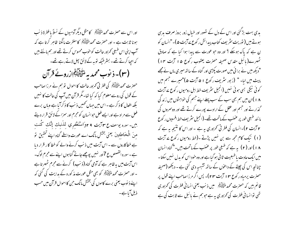اور اس سے حصرت محمد الْحَقِيَّةَ لَهِ \_ كامثل ديگر آدميوں كے نسلاً با فطرة ذِ نب ہونا ثابت ہے ۔ اور حصرت محمد التَّہ اللّٰہُم کا مغفرت مانگنا ظاہر کرتا ہے کہ آپ اپنی اس طبعی تحرزور حالت کو حوب محسوس کرتے تھے اور ہم مانتے ہیں کہ اجھا کرتے تھے۔ بسٹر طیکہ توبہ کےلائق پھل لاتے رہے تھے۔ (۳)- ذیوب محمدیه متحلِّقیاتِکُمُ ازروٹے قرآن حصرت محمد التَّخْلِيَلِيَّ كي فطر تي تم ور حالت كا احوال توسم نے مرزا صاحب کے قول کی روسے معلوم کیا کہ کیا تھا۔مگر قرآن میں آپ کی حالت کا نہیں بلکہ افعال کا ذکر ہے ۔اس میں جہاں تھیں ذنب کا ذکرآیا ہے وہاں برے فعل سے مراد ہے اور ایسے فعل حوانسان کو مجرم اور سمزاکے لائق قرار دیتے بیں۔ سورہ یوسف ع ۳ایت ۹ مواسْتَغْفري لذَنبك ٳئنك كُنت منَ الْعْعَاطِئِينَ يعني بخشْنِ مانَك اے عورت واسطے گناہ اپنے تحقیق تو ہے خطاکاروں سے ۔ اس آیت میں ذنب کرنے والے کو خطا کار قرار دیا ہے۔سورہ القصص ع 7اور نہیں پوچھے جاتے گناہوں اپنے سے مجرم لوگ۔ اس آیت میں بہ ظاہر ہے کہ آدمی گناہ (ذنب) کرنے سے مجرم ٹھہر تاہے ۔ اور حصرت محمد سلطینگیٹو کو بھی مثل عورت مذکورہ کے ہدایت کی گئی کہ اپنے ذیوب یعنی برے کاموں کی بخشش مانگ حن کااحوال قرآن میں حسب ذیل آیا ہے۔

یدی بہت بڑگئی اور اس کے دل کے نصور اور خیال زور بروز صرف بدسی ہوتے ہیں ( نوریت سٹریف کتاب پیدائش رکوع سے آیت ۵)۔"انسان کو ن ہے کہ پاک ہوسکے ؟ اور وہ حو عورت سے پیدا ہوا کیا ہے کہ صادق ٹھہرے(مائبل مقدس صحیفہ حصرت یعقوب رکوع ۱۵ آیت ۱۴) "دیکھ میں نے برائی میں صورت پکڑی اور گناہ کے ساتھ میری ماں نے مجھے پیٹ میں لیا۔ " (زبور سٹریف رکوع ۱ ھ آیت ھ)"میرے جسم میں کوئی نیکی بسی ہوئی نہیں (انجیل سٹریف خط اہل رومیوں رکوع پے آیت ۱۸)ان میں ہم بھی سب کے سب پہلے اپنے جسم کی خواہشوں میں زند گی گذار نے اور جسم اور عقل کے ارادے پورے کرتے تھے اور دوسمروں کی ما نند طبعی طور پر عضب کے ماتحت تھے۔(انجیل سٹریف خط افسپوں رکوع ۲ آیت ۲)۔انسان کی فطر تی تھمزوری یہ ہے ۔اور اس کا نتیجہ یہ ہے کہ (۱) نیک کام مجھ سے بن نہیں پڑتے ۔(خط رومیوں رکوع پے آیت ۱۸) اور ( ۲ ) پہ ہے کہ طبعی طور پر عضب کے ماتحت، بیں۔"گناہ انسان میں ایک عادت باطبعیت ثا فی ہو گیا ہے اور وہ خود اس کو بدل نہیں سکتا ۔ چنانچہ اس کی چیتے کے داعوٰں کے ساتھ تشبہبہ دی گئی ہے ۔ دیکھو (صحیفہ حصرت پرمیاہ ر کوع ۳ ا آیت ۲۳)۔ پس اگر مرزا صاحب اپنے قول پر قائم ہیں کہ حصرت محمد اللّٰہﷺ میں ذنب یعنی انسانی فطرت کی تھروری تھی نوانسا فی فطرت کی تھروری یہ ہے حوہم نے بائبل سے ثابت کی ہے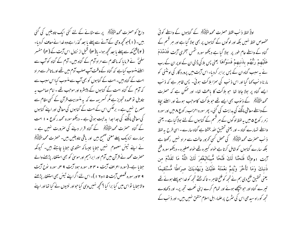داع کو حصرت محمد الٹی ایٹم پر سے مطانے کے لئے کئی ایک تاویلیں کی گئی بیں۔ (۱)جو تحچھ وحی کے آنے سے پہلے یا بعد گذرا ہے وہ خدا نے معاف کردیا۔ (۲)فتح مکہ سے پہلے یا بعد تحچہ ہوا۔ یا(۳) قبل از نزول اس آیت کے (۴) مفسر سلمیؒ نے فرمایا کہ ماتقدم سے مراد آدم کے گناہ بیں۔آدم کے گناہ کوآپ سے اسلئے منسوب کیاہے کہ گناہ کے وقت آپ صلب آدم میں تھے اور ما تاخر سے مراد امت کے گناہ ہیں۔امت کے گناہوں کو بھی آپ سے منسوب کیااس سبب سے کہ آدم کے گناہ امت کے گناہوں کے پیپنٹرو اور موجب تھے ۔امام صاحب یہ تاویل نوعمدہ تجویز ہے مگر کسریہہ ے کہ یہ منسوبیت قرآن کے کسی مقام سے مصرح نہیں ہے۔ برعکس اس کے امت کے گناہوں کی معافی اور اپنے گناہوں کی معافی مانگنے کی جدا جدا پدلیت ہوئی ہے ۔ دیکھو سورہ محمد رکوع • ۱ امت کے گناہ حصرت محمد ﷺ کے گناہ قرار دینے کی صرورت نہیں ہے ۔ ہمارے نزدیک پہلے معنی صحیح بیں اور باقی تاویلیں ہیں۔حصرت محمد ملتَّ لِکِیْتِنِ نے اپنے تیئں معصوم نہیں جتایا جیسا کہ مقتدی جتایا چاہتے ہیں۔ کیونکہ حصرت محمد نے قرآن میں آدم اور ابراہیم اور موسیٰ کو بھی استغفار پڑھنے والے جتایا ہے۔(سورہ اعراف آیت ۳۴۰، سورہ ہود آیت ۹ مه، سورہ نوح آیت ۹ ۲اور سورہ قصص آیت ۵ ا و۱ ۱ )۔اس لئے اگراپنے تیئں بھی استغفار پڑھنے والاجتابا نواس میں کیا برا کیا ؟ محچہ نہیں وہی کیاحواور نبیوں نے کیا تھااور اپنے

اولاً لفظ ذنب فقط حصرت محمد التَّخيَّلِيَّهُم كے گناہوں کے واسطے کوئی مخصوص لفظ نہیں بلکہ اور لوگوں کے گناہوں پر بھی بولا گیاہے اور ہر قسم کے گناہ کے واسطے عام طور پر بولا گیا ہے دیکھو سورہ شمس آخری آیت فَلَہَمْلَہَمَ عَلَيْهِمْ رَبُّهُم بِذَنبِهِمْ فَسَوَّاهَا يُعنى پس بِلاكِي ڈالیان کے اوپر ان کے رب نے یہ سبب گناہ ان کے پس برابر کردیا۔اس آیت میں پرورد گار کی اونٹنی کو مارنا د نب کہا گیا اور اس ذنب کی سمزا ہلاکت ہوئی۔ پس ظاہر ہے کہ ذنب ایسے گناہ پر بولا جاتا تھا جو ہلاکت کا باعث تھا۔ اور ممکن ہے کہ حصرت محمد التَّقِيَّةَ لِمَّ ﴾ ونوب بھی ایسے تھے جو ہلاکت کاموجب ہوتے اور اسکئے بجاؤ کے واسطے معافی مانگنے کی بدایت کی گئی۔ پھر سورہ احزاب ر کوع ۸ میں اور سورہ زمر ر کوع ۵ میں بہ لفظ لوگوں کے ہر قسم کے گناہوں کے لئے بولاگیا ہے۔ یعنی واسطے نتہارے گناہ ۔ اور یعنی تحقیق اللہ بخشتا ہے گناہ سارے - اسی طرح پہ لفظ ذنب حصرت محمد الراتيقيّة که محض کسی کمرور حالت سے مراد نہیں رکھتا ہے بلکہ سارے گناہوں کو شامل کرتاہے خواہ کبیرہ تھے خواہ صغیرہ - دیکھوسورہ فتح آيت 1وrإنَّا فَتَحْنَا لَكَ فَتْحًا مُّبِينًاليَّغْفرَ لَكَ اللَّهُ مَا تَقَلَّمَ من ذَنبكَ وَمَا تَأَخَّرَ وَيُتمَّ نَعْمَتَهُ عَلَيْكَ وَيَهْديَكَ صِرَاطًا مُّسْتَقيمًا یعنی تحقیق فتح دی ہم نے تجھ کوفتح ظاہر - تاکہ بخشے تجھ کو خدا حوپہلے ہوئے تھے تبیرے گناہ اور حبو پیچھے ہوئے اور تمام کرے اپنی نعمت تجھ پر- اور دکھاوے تجھ کوراہ سیدھی اس کی سثرح پر علماء اہل اسلام متفق نہیں بیں۔اور ذنب کے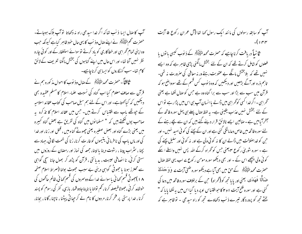آپ کا صال ایسا ذنب تھا کہ اگر خدا سیدھی راہ نہ دکھاتا توآپ ہلاک ہوجاتے۔ حصرت محم متَّ يُبَيِّبَهُمْ نے اپنے صال وذ نب کا یہی حال حود ظاہر کیاہے کیونکہ جب وہ اپنی تمام گھراہی اور خطاکاری کو یاد کرتے نوسوائے استغفار کے اور کوئی چارہ نظر نہیں آتا تھا۔ اور اس حال میں اپنے گناہوں کی بخشش مانگنا تعریف کے لائق کام تھا۔سب گنہگاروں کوایسا ہی کرناچاہیے۔

قرآن سے صاف معلوم کیا اب گناہ کی نسبت علماء اسلام کا مسلم عقیدہ بھی دیکھیں کہ کیاکھتاہے۔ اور اس کے لئے ہم سیل صاحب کی کتاب عقائد اسلامیہ کے جوتھے ماب سے اقتیاس کرتے ہیں۔ جس میں عقائد اسلام کا تذکرہ یہ صاحب یوں لکھتے ہیں کہ " مسلمانوں میں گناہ کی تفریق ہے بعض گناہ کبیرہ میں یعنی بڑے گناہ اور بعض صغیرہ یعنی چھوٹے گناہ میں ، قتل اور زنا، اور خدا کی اور ماں پاپ کی نا فرما فی یتیموں کو غار ت کرنا، زنا کی نتمت لگا فی، حہاد سے بچنا ، سثراب پینا ، رسْوت دینا یالینا، جمعه کی نماز اور رمضان کے روزوں میں سستی کرنی، نا انصافی عیبت ، بدیانتی ، قرآن کو پڑھ کر بھول جانا سچی گواہی سے محترز ہونا یا جھوٹی گواہی دینی بے سبب جھوٹ بولنا (صراط اسلام صفحہ ۸۱)جھوٹی قسم کھانی یاسوائے خدا کے دوسروں کی قسم کھانی،ظالم حاکموں کی خوشامد کر نی ،جھوٹا فیصلہ کرنا ، کم نولنا یا ناپناجادوقمار بازی، کفر کی رسوم کو پسند کرنا ، خدا پرستی پر فخر کرنا، مردوں کا نام لے کر حیاتی پیٹنا ، ناچنا ، گانا ، بجانا، آپ کو سابقہ رسولوں کی مانند ایک رسول <sub>ک</sub>ھا تھا **(آ**ل عمران رکوع ۵ آیت  $-$ ( $\sqrt{r}$ 

ث**نا نیا** ً دریافت کرناچاہیے کہ حصرت محمد ا<u>نتی ایک</u> کے ذیوب کیسی یا توں یا فعلوں کو شامل کرتے تھے کہ ان کے لئے بخشش مانگنی پڑی ظاہر ہے کہ وہ ایسے نہیں تھے کہ بلابخشش مانگے بے عقوبت رہتے ور نہ معافی کی صرورت نہ تھی۔ تاہم ذرہ اور آگے بڑھیں اور دیکھیں کہ وہ ذیوب کس قسم کے تھے سو واضح ہو کہ قرآن میں سب سے بڑا اور سب سے برا گناہ وہ ہے جس کو صال لکھا ہے یعنی گھراہی ۔اگر خدا کسی کوگھراہی میں ڈالے یاانسان آپ ہی اس میں پڑارہے نواس کے لئے بخشش نہیں عذاب یقینی ہے۔ یہ لفظ صال پہلے ہی پہل سورہ فاتحہ کے آخرآبامیں ہے۔صالین ایسے نالائق قرار دیئے گئے ہیں کہ ان سے بچے رہنے کے لئے سورہ فاتحہ میں خاص دعا مانگی گئی ہے اور ان کے پچنے کی کو ٹی امید نہیں۔ اور حبن کو خداصلالت میں ڈالے ان کا نہ کوئی ولی ہے اور نہ کوئی اور سلیل بچنے کی ہے ۔ سورہ شوریٰ رکوع ہم یعنی حس کو گھراہ کرکے اللہ بیس نہیں واسطے ا سکے کوئی ولی پیچھے اس کے ۔ اور بھی دیکھو سورہ مومن رکوع سے اب یہی لفظ صال حصرت محمد التَّأْلِيَةِ كَمَنْ مِن بِهِي آبا ہے دیکھوسورہ ضمحیٰ آیت بے و وَوَ جَدَاكَهَ ضَالًّا ۖ فَعَامَتَ لِعِنِي اور یا یا تحمِه کو(گُمراه) حن کے برخلاف سورہ فاتحہ میں دعا کی گئی ہے اور سورہ فتح آیت ۱ و ۲ کا حواقتیاس او پر دیا گیا اس میں بہ لکھا یا یا کہ " یخٹے تجھ کو پرورد گار تیرے ذنب دکھاوے تجھ کوراہ سیدھی ۔ توظاہر ہے کہ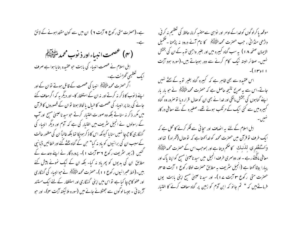ہے۔(حصرت متی رکوع ۹ آیت ۲ ) ان میں سے کون مقتداہونے کے لائق (۴) تخصمت انبياء اور ذ نوب محمد متَّقَلِيلَهُمْ ( اہل اسلام نے عصمت اندیاء کی بابت حو عقیدہ بنایا ہوا ہے صرف امک تعظیمی گھڑنت ہے۔ اگر حصرت محمد السَّمَّايَّةَ انبيا کي عصمت کے قائل ہوتے توان کے اور اپنے ذیوب کا ذکر نہ کرتے اور نہ ان کے استغفار کا- اور دیگر یہ کہ اگر معاف کئے جانے کی بنا پر انبیاء کی عصمت کاخیال یالحاظ ہوتا نوان کے قصوروں کا قرآن میں مکرر ذکر نہ سناتے بلکہ وہ صور ت اختیار کرتے جو سید ناعیبیٰ مسح اور آپ کے رسولوں نے انجیل سٹریف میں اختیار کی ہے کہ آدم اور دیگر انبیاء کی گښگاری کا حچہ چا نہیں سنا یا کیونکہ اس کا ذکر ہوجکا تھا بلکہ غالباً ان کی مغفور حالت کے سبب ان کی برائیوں کو بادینہ کیا" حبن کے گناہ بخشے گئے اور خطائیں ڈیا نپی کئیں (زبور سٹریف رکوع ۳۶ آیت ۱)- پروردگار نے اپنے وعدے کے مطابق ان کی بدیوں کو پھرماد نہ کیا- بلکہ ان کے نیک نمونے پیش کئے بین۔(خط عبرانیوں رکوع ۱۱)۔حصرت محمد الصَّلِیّلَہِ نے حبوانبیاء کی گنہگاری اور عفو کا حیرجا کیا ہے تو اس میں اپنی گنہگاری اور استغفار کے لئے ایک مستند آڑ بنا ئی ۔ جیسا لوگوں سے جھٹلائے جانے میں (سورہ ملائیکٹہ آیت سہ)۔ اور حبو

موقعہ پا کرلوگوں کوخدا کے اوامر اور نواسی سےمتنسہ کرنا، حافظ کی تعظیم نہ کر ٹی، داڑھی منڈانی ، جب حصرت محمد اللّٰہ ﷺ کا نام آئے درود نہ پڑھنا ۔ تعمیل الایمان صفحہ ۱۸ ) یہ سب گناہ کبیرہ میں اور بغیر واجبی توبہ کے ان کی بخش نہیں۔ صغائر البتہ نیک کام کرنے سے دور ہوجاتے بیں۔(سورہ ہود آیت ا او۱۳ )-

اس عقیدہ سے بھی ظاہر ہے کہ گبیرہ گناہ بغیر ِ توبہ کے بچٹے نہیں جاتے-اس سے یہ صریح نتیجہ حاصل ہے کہ حصرت محمد سلطیقی کے حو مار مار اپنے گناہوں کی بخشش مانگی اور خدا نے بھی ان کو صال قرار دیا تو صرور وہ گناہ کمبیرہ میں سے کئی ایک کے مرتکب ہوئے تھے۔صغیرہ کے لئے معافی درکار

اہل اسلام کے لئے یہ انصاف اور سچائی سے فکر کرنے کا محل ہے کہ ایک طرف نوقرآن میں حصرت محمد کو خداکھتا ہے کہ توصال (گھراہ) تھااور وَاسْتَغْفِرِي لِذَنبِكَ ﴾ حكم ديتا ہے اور بموجب اس كے حصرت محمد التَّخْفِيلَةُ معافی مانگتے رہے ۔ اور دوسمری طرف انجیل میں سید ناعیسیٰ مسیح کو اپنا پاک اور پبارا بیٹا کھتا ہے (انجیل سٹریف بہ مطابق حصرت لوقا رکوع ۱ آیت ۴۰۵، حصرت متی رکوع ۳ آیت ۷ ا)- اور سیدنا عیسیٰ مسح اپنی مابت پوں فرماتے ہیں کہ " تم جانو کہ ابن آدم کو زمین پر گناہ معاف کرنے کا اختیار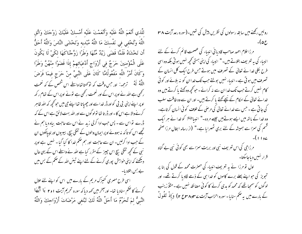للَّذي أَنْعَمَ اللَّهُ عَلَيْه وَأَنْعَمْتَ عَلَيْه أَمْسكْ عَلَيْكَ زَوْجَكَ وَاتَّق اللَّهَ وَتُخْفي في نَفْسكَ مَا اللَّهُ مُبْديه وَتَخْشَى النَّاسَ وَاللَّهُ أَحَقُّ أَن تَحْشَاهُ فَلَمَّا قَضَى زَيْدٌ مِّنْهَا وَطَرًا زَوَّجْنَاكَهَا لكَيْ لَا يَكُونَ عَلَى الْمُؤْمِنِينَ حَرَجٌ فِي أَزْوَاجٍ أَدْعِيَائهِمْ إِذَا قَضَوْا مِنْهُنَّ وَطَرًا وَكَانَ أَمْرُ اللَّه مَفْعُولًامًّا كَانَ عَلَى النَّبِيِّ مِنْ حَرَجٍ فِيمَا فَرَضَ اللَّهُ لَهُ ﴾ ترحمہ: اور حس وقت کہ تو کہتا تھا واسطے اس شخص کے کہ نعمت رکھی ہے اللہ نے اوپر اس کے اور نعمت رکھی ہے نونے اوپر اس کے نتام رکھہ او پر اپنےاپنی بی بی کواور ڈر خداسے اور چھپاتا تھااپنے جی میں حو کحچھ کہ اللہ ظاہر کرنے والا ہے اس کا - اور ڈر تا تھا نولو گوں سے اور اللہ بہت لائق ہے اس کے کہ ڈرے نواس سے۔ پس حب ادا کرلی زید نے اس سے حاجت بیاہ دیا ہم نے تجھے اس کو تا کہ نہ ہووئے اوپر ایمان والوں کے تنگی بیچ، بیبیوں اور لیپالکوں ان کے جب ادا کرلیں۔ ان سے حاجت اور ہم حکم خدا کا کیا گیا - نہیں ہے اوپر نبی کے تحیمہ تنگی بیچ اس چییز کے مقرر کیا ہے اللہ نے واسطے اس کے یہی حال دیکھئے کہ اپنی خواہش پوری کرنے کے لئے اپنے تیئں اللہ کے حکم کے بس میں بے بس بتلادیا۔ اسی طرح مصری کنیزک مریم کے بارے میں اس کو اپنے لئے حلال

کرنے کا حکم سنادیا تھا۔ اور آخر میں کہہ دیا کہ سورہ تحریم آیت ۱ و ۲ یَا أَيُّهَا النَّبِيُّ لمَ تُحَرِّمُ مَا أَحَلَّ اللَّهُ لَكَ تَبْتَغي مَرْضَاتَ أَزْوَاحِكَ وَاللَّهُ

روئیں رکھنے میں سابقہ رسولوں کی نظریں پیش کی تھیں۔(سورہ رعد آیت ۳۸  $-(\varphi_{\mathcal{E}})$ 

مرزا غلام احمد صاحب قادیا فی انبیاء کی عصمت قائم کرنے کے لئے انبساء کی بہ تعریف بتلاتے ہیں۔" انبساء کی اپنی ہستی تحچیہ نہیں ہو تی بلکہ وہ اسی طرح بکلی خدا ئے تعالیٰ کے تصرف میں ہوتے جس طرح ایک کل انسان کے تصرف میں ہو تی ہے ۔انبیاء نہیں بولتے جب تک خداان کو نہ بلائے اور کو ٹی کام نہیں کرتے جب تک خداان سے نہ کرائے۔حوکچھ وہ کھتے یا کرتے بیں وہ خدائے تعالیٰ کے احکام کے نیپچے کہتے یا کرتے بیں۔اور ان سے وہ طاقت سلب کی جاتی ہے ۔ جس سے خدائے تعالیٰ کی مرحنی کے خلاف کوئی انسان کرتاہے۔ وہ خدا کے باتھ میں ایسے ہوتے ہیں جیسے مردہ-" انبیا ایکشا کو خدا نے ہر ایک قسم کی سمزا سے ہمیشہ کے لئے بری ٹھہرایا ہے۔" (از رسالہ ابطال مرزا صفحہ

مرزاجی کی اس تعریف نبی اور بریت سمزاسے بھی کوئی نبی بے گناہ قرار نهبيں دياجاسكتا۔

اول تو مرزا نے یہ تعریف انبیاء کی حصرت محمد کے قول کی بنا پر تجویز کی حبو اپنے بھلے برے کاموں کو خدا ہی کے ذمے لگادیا کرتے تھے۔ اور لوگوں کو سمجا تھے کہ محمد کو بدی کرنے کا کوئی مضائقہ نہیں ہے۔مثلاً زینب کے مارے میں یہ ضم سنایا۔ سورہ احزاب آیت سے معود ۲ س مع ۲ کیا ٖ " قَقُولُ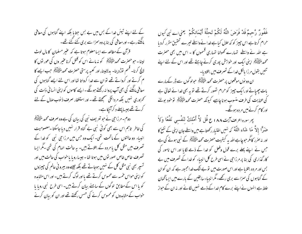کے لئے اپنے تیئں خدا کے بس میں بے بس جتایا بلکہ اپنے گناہوں کی معافی مانگتےرہے۔اور معافی کی بنا پروہ سمزا سے بری کئے گئے تھے۔ قرآن کے مطالعہ سے ایسا معلوم ہوتا ہے کہ عنیر مسلمان کا مال لوٹ لینا۔ حبو حصرت محمد التَّأْلِيَّةَ ﴿ كَو مهْ مانے اس كو قتل كرنا عنير ول كى عور تول كا لالچ کرنا- قسم توڑد بنا- بدلالینا، اور کعبہ پرستی حصرت محمد السَّخْلِيلَهُمْ حب ایسے کا م کرتے اور کرواتے تھے تو ان سے خدا کرواتا تھا اور اس لئے ایسے گناہوں کی معافی مانگنے کی بھی آپ پروا نہ رکھتے ہوئگے - ایسے کاموں کواپنی انسانی ذات کی کھروری نہیں بلکہ مر دانگی سمجھتے تھے ۔اور استغفار صرف ذیوب عنال کے لئے کرتے تھے جیسا پہلے د کرآجکا ہے۔

دوم- مرزاحی نے حبو تعریف نبی کی بیان کی ہے وہ صرف محمد ملتَّ *پُلِی*کُمْ کی خاطر تاہم اس سے بھی کوئی نبی بے گناہ قرار نہیں دیا جاسکتا ۔معصومیت انبیاء دو حالتوں کے ماتحت تھی۔ ایک وہ جس میں مرزا جی نبی کو خدا کے تصرف میں مثل کل یا مردہ کے بتلاتے ہیں۔ یہ حالت الہام کی تھی ۔مگر ایسا تصرف خاص خاص صور نوں میں ہوتا تھا - جیسا روبا با خواب کی حالت میں اور تسپر بھی نبی مثل کل کے نہیں ہوجاتے تھے بلکہ جیسے وہ بیرونی عالم کی چیزوں کو اپنی حواس خمسہ سے محسوس کرتے تھے یا اور لوگ کرتے ہیں۔ اور اس مشاہدہ کو یا اس کے مطابق لوگوں کے سامنے بیان کرتے ہیں۔ اسی طرح نبی رویا یا خواب کے مشاہدوں کو محسوس کرنے کی حسس رکھتے تھے اور ان کو بیان کرنے

غَفُورٌ رَّحيمٌ قَدْ فَرَضَ اللَّهُ لَكُمْ تَحلَّةَ أَيْمَانكُمْ ۚ يعنى اے نبى *كيوں* حرام کرتاہے اس چیپز کو کہ حلال کیاہے خدا نے واسطے تیپرے تحقیق مقرر کردیا ہے اللہ نے واسطے تہارے کھولنا تہاری قسموں کا ۔ اس میں بھی حصرت محمد التَّقِيَّةَ فِي ابنى ابك اور خواہش پورى كرنے چاہتے تھے اور اس كے لئے اپنے تئیں بقول مر زا بالکل *خد*ا کے تصر**ف م**یں بتلادیا۔

ان دو نوں موقعوں پر حصرت محمد ملٹی ایم حولوگوں سے ڈر کے مارے بات چھپاتے اورا کپ چپیز کو حرام نصور کرتے تھے نو یہ بھی خدا نے تعالیٰ ہے کی عنایت کی طرف منسوب ہوناچاہیے کیونکہ حصرت محمد الج ایک او خود بولنے اور کام کرنے میں مردہ ہونگے۔

بِهِ سوره اعراف آيت ١٨٨ ع قُل لاَّ أَمْلِكُ لِنَفْسي نَفْعًا وَلاَ ضَرًّا إِلاَّ مَا شَاء اللَّهُ كه نهيں اختبار ركھتا ہے ميں واسطے جان اپنى كے نفع كا اور نہ صرر کامگر حبو چاہے اللہ یہ کیفیت حصرت محمد السَّخْ پہلے کے نبی ہونے کی ہے جس نے اپنے بھلے برے قول وفعل کو خدا کے ذمے لگایا اور اس نامور کی کار گذاری کی بنا پر مرزا حی نے اسی طرح کل انبیاء کو خدا کے تصرف میں بے بس اور مر دہ بتلایا ہے اور اس صورت میں تو بے شک خدا مجبور ہے کہ ان کوان کے گناہوں کی سمزا سے بری رکھے۔مگر انبیاء سابقین کے بارے میں ایساٹھان علط ہے انہوں نے اپنے برے کام خدا کے ذمے نہیں لگائے اور نہ ان کے حواز